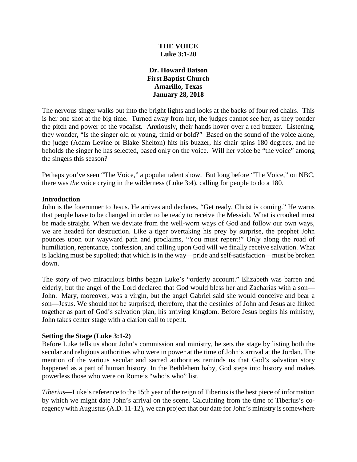# **THE VOICE Luke 3:1-20**

## **Dr. Howard Batson First Baptist Church Amarillo, Texas January 28, 2018**

The nervous singer walks out into the bright lights and looks at the backs of four red chairs. This is her one shot at the big time. Turned away from her, the judges cannot see her, as they ponder the pitch and power of the vocalist. Anxiously, their hands hover over a red buzzer. Listening, they wonder, "Is the singer old or young, timid or bold?" Based on the sound of the voice alone, the judge (Adam Levine or Blake Shelton) hits his buzzer, his chair spins 180 degrees, and he beholds the singer he has selected, based only on the voice. Will her voice be "the voice" among the singers this season?

Perhaps you've seen "The Voice," a popular talent show. But long before "The Voice," on NBC, there was *the* voice crying in the wilderness (Luke 3:4), calling for people to do a 180.

### **Introduction**

John is the forerunner to Jesus. He arrives and declares, "Get ready, Christ is coming." He warns that people have to be changed in order to be ready to receive the Messiah. What is crooked must be made straight. When we deviate from the well-worn ways of God and follow our own ways, we are headed for destruction. Like a tiger overtaking his prey by surprise, the prophet John pounces upon our wayward path and proclaims, "You must repent!" Only along the road of humiliation, repentance, confession, and calling upon God will we finally receive salvation. What is lacking must be supplied; that which is in the way—pride and self-satisfaction—must be broken down.

The story of two miraculous births began Luke's "orderly account." Elizabeth was barren and elderly, but the angel of the Lord declared that God would bless her and Zacharias with a son— John. Mary, moreover, was a virgin, but the angel Gabriel said she would conceive and bear a son—Jesus. We should not be surprised, therefore, that the destinies of John and Jesus are linked together as part of God's salvation plan, his arriving kingdom. Before Jesus begins his ministry, John takes center stage with a clarion call to repent.

### **Setting the Stage (Luke 3:1-2)**

Before Luke tells us about John's commission and ministry, he sets the stage by listing both the secular and religious authorities who were in power at the time of John's arrival at the Jordan. The mention of the various secular and sacred authorities reminds us that God's salvation story happened as a part of human history. In the Bethlehem baby, God steps into history and makes powerless those who were on Rome's "who's who" list.

*Tiberius*—Luke's reference to the 15th year of the reign of Tiberius is the best piece of information by which we might date John's arrival on the scene. Calculating from the time of Tiberius's coregency with Augustus (A.D. 11-12), we can project that our date for John's ministry is somewhere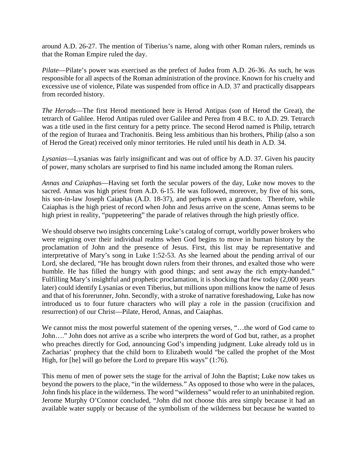around A.D. 26-27. The mention of Tiberius's name, along with other Roman rulers, reminds us that the Roman Empire ruled the day.

*Pilate*—Pilate's power was exercised as the prefect of Judea from A.D. 26-36. As such, he was responsible for all aspects of the Roman administration of the province. Known for his cruelty and excessive use of violence, Pilate was suspended from office in A.D. 37 and practically disappears from recorded history.

*The Herods*—The first Herod mentioned here is Herod Antipas (son of Herod the Great), the tetrarch of Galilee. Herod Antipas ruled over Galilee and Perea from 4 B.C. to A.D. 29. Tetrarch was a title used in the first century for a petty prince. The second Herod named is Philip, tetrarch of the region of Ituraea and Trachonitis. Being less ambitious than his brothers, Philip (also a son of Herod the Great) received only minor territories. He ruled until his death in A.D. 34.

*Lysanias*—Lysanias was fairly insignificant and was out of office by A.D. 37. Given his paucity of power, many scholars are surprised to find his name included among the Roman rulers.

*Annas and Caiaphas*—Having set forth the secular powers of the day, Luke now moves to the sacred. Annas was high priest from A.D. 6-15. He was followed, moreover, by five of his sons, his son-in-law Joseph Caiaphas (A.D. 18-37), and perhaps even a grandson. Therefore, while Caiaphas is the high priest of record when John and Jesus arrive on the scene, Annas seems to be high priest in reality, "puppeteering" the parade of relatives through the high priestly office.

We should observe two insights concerning Luke's catalog of corrupt, worldly power brokers who were reigning over their individual realms when God begins to move in human history by the proclamation of John and the presence of Jesus. First, this list may be representative and interpretative of Mary's song in Luke 1:52-53. As she learned about the pending arrival of our Lord, she declared, "He has brought down rulers from their thrones, and exalted those who were humble. He has filled the hungry with good things; and sent away the rich empty-handed." Fulfilling Mary's insightful and prophetic proclamation, it is shocking that few today (2,000 years later) could identify Lysanias or even Tiberius, but millions upon millions know the name of Jesus and that of his forerunner, John. Secondly, with a stroke of narrative foreshadowing, Luke has now introduced us to four future characters who will play a role in the passion (crucifixion and resurrection) of our Christ—Pilate, Herod, Annas, and Caiaphas.

We cannot miss the most powerful statement of the opening verses, "…the word of God came to John…." John does not arrive as a scribe who interprets the word of God but, rather, as a prophet who preaches directly for God, announcing God's impending judgment. Luke already told us in Zacharias' prophecy that the child born to Elizabeth would "be called the prophet of the Most High, for [he] will go before the Lord to prepare His ways" (1:76).

This menu of men of power sets the stage for the arrival of John the Baptist; Luke now takes us beyond the powers to the place, "in the wilderness." As opposed to those who were in the palaces, John finds his place in the wilderness. The word "wilderness" would refer to an uninhabited region. Jerome Murphy O'Connor concluded, "John did not choose this area simply because it had an available water supply or because of the symbolism of the wilderness but because he wanted to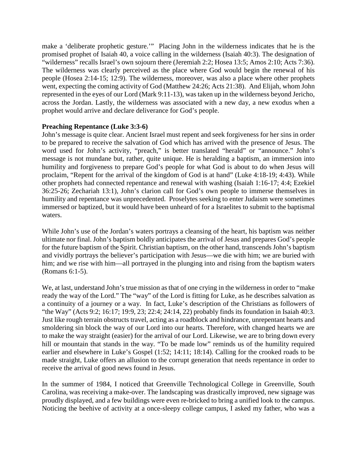make a 'deliberate prophetic gesture.'" Placing John in the wilderness indicates that he is the promised prophet of Isaiah 40, a voice calling in the wilderness (Isaiah 40:3). The designation of "wilderness" recalls Israel's own sojourn there (Jeremiah 2:2; Hosea 13:5; Amos 2:10; Acts 7:36). The wilderness was clearly perceived as the place where God would begin the renewal of his people (Hosea 2:14-15; 12:9). The wilderness, moreover, was also a place where other prophets went, expecting the coming activity of God (Matthew 24:26; Acts 21:38). And Elijah, whom John represented in the eyes of our Lord (Mark 9:11-13), was taken up in the wilderness beyond Jericho, across the Jordan. Lastly, the wilderness was associated with a new day, a new exodus when a prophet would arrive and declare deliverance for God's people.

## **Preaching Repentance (Luke 3:3-6)**

John's message is quite clear. Ancient Israel must repent and seek forgiveness for her sins in order to be prepared to receive the salvation of God which has arrived with the presence of Jesus. The word used for John's activity, "preach," is better translated "herald" or "announce." John's message is not mundane but, rather, quite unique. He is heralding a baptism, an immersion into humility and forgiveness to prepare God's people for what God is about to do when Jesus will proclaim, "Repent for the arrival of the kingdom of God is at hand" (Luke 4:18-19; 4:43). While other prophets had connected repentance and renewal with washing (Isaiah 1:16-17; 4:4; Ezekiel 36:25-26; Zechariah 13:1), John's clarion call for God's own people to immerse themselves in humility and repentance was unprecedented. Proselytes seeking to enter Judaism were sometimes immersed or baptized, but it would have been unheard of for a Israelites to submit to the baptismal waters.

While John's use of the Jordan's waters portrays a cleansing of the heart, his baptism was neither ultimate nor final. John's baptism boldly anticipates the arrival of Jesus and prepares God's people for the future baptism of the Spirit. Christian baptism, on the other hand, transcends John's baptism and vividly portrays the believer's participation with Jesus—we die with him; we are buried with him; and we rise with him—all portrayed in the plunging into and rising from the baptism waters (Romans 6:1-5).

We, at last, understand John's true mission as that of one crying in the wilderness in order to "make ready the way of the Lord." The "way" of the Lord is fitting for Luke, as he describes salvation as a continuity of a journey or a way. In fact, Luke's description of the Christians as followers of "the Way" (Acts 9:2; 16:17; 19:9, 23; 22:4; 24:14, 22) probably finds its foundation in Isaiah 40:3. Just like rough terrain obstructs travel, acting as a roadblock and hindrance, unrepentant hearts and smoldering sin block the way of our Lord into our hearts. Therefore, with changed hearts we are to make the way straight (easier) for the arrival of our Lord. Likewise, we are to bring down every hill or mountain that stands in the way. "To be made low" reminds us of the humility required earlier and elsewhere in Luke's Gospel (1:52; 14:11; 18:14). Calling for the crooked roads to be made straight, Luke offers an allusion to the corrupt generation that needs repentance in order to receive the arrival of good news found in Jesus.

In the summer of 1984, I noticed that Greenville Technological College in Greenville, South Carolina, was receiving a make-over. The landscaping was drastically improved, new signage was proudly displayed, and a few buildings were even re-bricked to bring a unified look to the campus. Noticing the beehive of activity at a once-sleepy college campus, I asked my father, who was a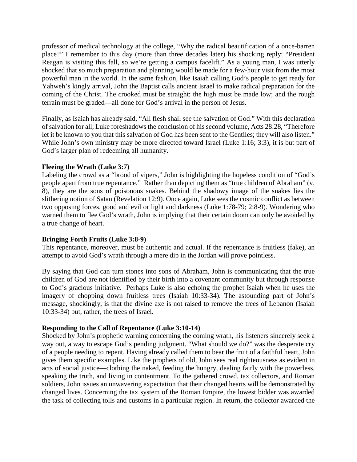professor of medical technology at the college, "Why the radical beautification of a once-barren place?" I remember to this day (more than three decades later) his shocking reply: "President Reagan is visiting this fall, so we're getting a campus facelift." As a young man, I was utterly shocked that so much preparation and planning would be made for a few-hour visit from the most powerful man in the world. In the same fashion, like Isaiah calling God's people to get ready for Yahweh's kingly arrival, John the Baptist calls ancient Israel to make radical preparation for the coming of the Christ. The crooked must be straight; the high must be made low; and the rough terrain must be graded—all done for God's arrival in the person of Jesus.

Finally, as Isaiah has already said, "All flesh shall see the salvation of God." With this declaration of salvation for all, Luke foreshadows the conclusion of his second volume, Acts 28:28, "Therefore let it be known to you that this salvation of God has been sent to the Gentiles; they will also listen." While John's own ministry may be more directed toward Israel (Luke 1:16; 3:3), it is but part of God's larger plan of redeeming all humanity.

### **Fleeing the Wrath (Luke 3:7)**

Labeling the crowd as a "brood of vipers," John is highlighting the hopeless condition of "God's people apart from true repentance." Rather than depicting them as "true children of Abraham" (v. 8), they are the sons of poisonous snakes. Behind the shadowy image of the snakes lies the slithering notion of Satan (Revelation 12:9). Once again, Luke sees the cosmic conflict as between two opposing forces, good and evil or light and darkness (Luke 1:78-79; 2:8-9). Wondering who warned them to flee God's wrath, John is implying that their certain doom can only be avoided by a true change of heart.

# **Bringing Forth Fruits (Luke 3:8-9)**

This repentance, moreover, must be authentic and actual. If the repentance is fruitless (fake), an attempt to avoid God's wrath through a mere dip in the Jordan will prove pointless.

By saying that God can turn stones into sons of Abraham, John is communicating that the true children of God are not identified by their birth into a covenant community but through response to God's gracious initiative. Perhaps Luke is also echoing the prophet Isaiah when he uses the imagery of chopping down fruitless trees (Isaiah 10:33-34). The astounding part of John's message, shockingly, is that the divine axe is not raised to remove the trees of Lebanon (Isaiah 10:33-34) but, rather, the trees of Israel.

# **Responding to the Call of Repentance (Luke 3:10-14)**

Shocked by John's prophetic warning concerning the coming wrath, his listeners sincerely seek a way out, a way to escape God's pending judgment. "What should we do?" was the desperate cry of a people needing to repent. Having already called them to bear the fruit of a faithful heart, John gives them specific examples. Like the prophets of old, John sees real righteousness as evident in acts of social justice—clothing the naked, feeding the hungry, dealing fairly with the powerless, speaking the truth, and living in contentment. To the gathered crowd, tax collectors, and Roman soldiers, John issues an unwavering expectation that their changed hearts will be demonstrated by changed lives. Concerning the tax system of the Roman Empire, the lowest bidder was awarded the task of collecting tolls and customs in a particular region. In return, the collector awarded the